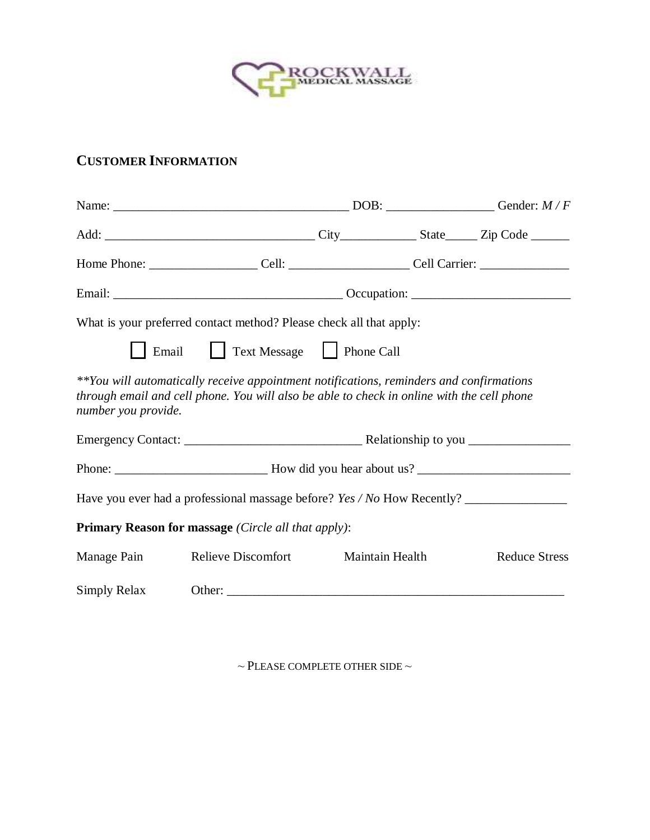

## **CUSTOMER INFORMATION**

|                     | Home Phone: ________________________Cell: ________________________Cell Carrier: ____________________                                                                                  |                 |  |                      |
|---------------------|---------------------------------------------------------------------------------------------------------------------------------------------------------------------------------------|-----------------|--|----------------------|
|                     |                                                                                                                                                                                       |                 |  |                      |
|                     | What is your preferred contact method? Please check all that apply:                                                                                                                   |                 |  |                      |
| Email               | Text Message   Phone Call                                                                                                                                                             |                 |  |                      |
| number you provide. | **You will automatically receive appointment notifications, reminders and confirmations<br>through email and cell phone. You will also be able to check in online with the cell phone |                 |  |                      |
|                     |                                                                                                                                                                                       |                 |  |                      |
|                     |                                                                                                                                                                                       |                 |  |                      |
|                     |                                                                                                                                                                                       |                 |  |                      |
|                     | <b>Primary Reason for massage</b> (Circle all that apply):                                                                                                                            |                 |  |                      |
| Manage Pain         | <b>Relieve Discomfort</b>                                                                                                                                                             | Maintain Health |  | <b>Reduce Stress</b> |
| Simply Relax        |                                                                                                                                                                                       |                 |  |                      |

 $\sim$  PLEASE COMPLETE OTHER SIDE  $\sim$